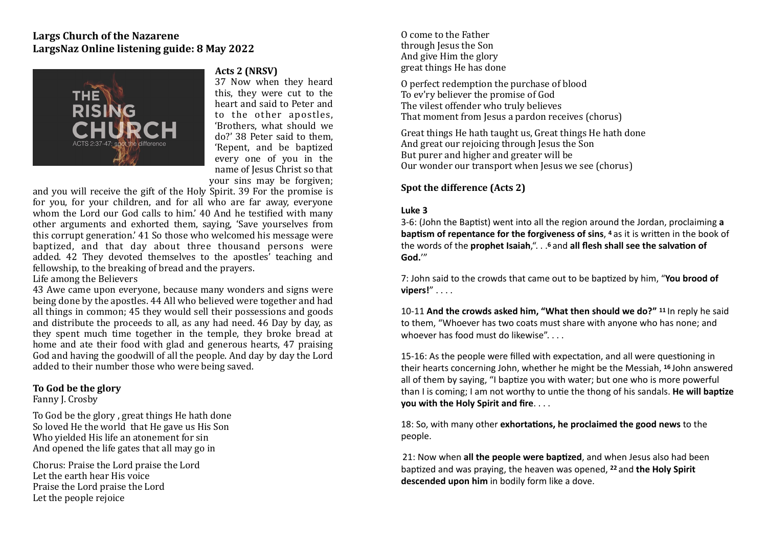## Largs Church of the Nazarene LargsNaz Online listening guide: 8 May 2022



#### Acts 2 (NRSV)

37 Now when they heard this, they were cut to the heart and said to Peter and to the other apostles, 'Brothers, what should we do?' 38 Peter said to them. 'Repent, and be baptized every one of you in the name of Jesus Christ so that your sins may be forgiven;

and you will receive the gift of the Holy Spirit. 39 For the promise is for you, for your children, and for all who are far away, everyone whom the Lord our God calls to him.' 40 And he testified with many other arguments and exhorted them, saying, 'Save yourselves from this corrupt generation.' 41 So those who welcomed his message were baptized, and that day about three thousand persons were added. 42 They devoted themselves to the apostles' teaching and fellowship, to the breaking of bread and the prayers.

Life among the Believers

43 Awe came upon everyone, because many wonders and signs were being done by the apostles. 44 All who believed were together and had all things in common: 45 they would sell their possessions and goods and distribute the proceeds to all, as any had need. 46 Day by day, as they spent much time together in the temple, they broke bread at home and ate their food with glad and generous hearts, 47 praising God and having the goodwill of all the people. And day by day the Lord added to their number those who were being saved.

### **To God be the glory**

Fanny J. Crosby

To God be the glory, great things He hath done So loved He the world that He gave us His Son Who vielded His life an atonement for sin And opened the life gates that all may go in

Chorus: Praise the Lord praise the Lord Let the earth hear His voice Praise the Lord praise the Lord Let the people rejoice

O come to the Father through lesus the Son And give Him the glory great things He has done

O perfect redemption the purchase of blood To ev'ry believer the promise of God The vilest offender who truly believes That moment from Jesus a pardon receives (chorus)

Great things He hath taught us, Great things He hath done And great our rejoicing through lesus the Son But purer and higher and greater will be Our wonder our transport when Jesus we see (chorus)

## **Spot the difference (Acts 2)**

### **Luke 3**

3-6: (John the Baptist) went into all the region around the Jordan, proclaiming a **baptism of repentance for the forgiveness of sins, 4 as it is written in the book of** the words of the **prophet Isaiah**,". . .<sup>6</sup> and all flesh shall see the salvation of **God.**'"

7: John said to the crowds that came out to be baptized by him, "You brood of vipers!" . . . .

10-11 And the crowds asked him, "What then should we do?" <sup>11</sup> In reply he said to them, "Whoever has two coats must share with anyone who has none; and whoever has food must do likewise".

15-16: As the people were filled with expectation, and all were questioning in their hearts concerning John, whether he might be the Messiah. <sup>16</sup> John answered all of them by saying, "I baptize you with water; but one who is more powerful than I is coming; I am not worthy to untie the thong of his sandals. He will baptize **you with the Holy Spirit and fire.** . . .

18: So, with many other **exhortations, he proclaimed the good news** to the people. 

21: Now when **all the people were baptized**, and when Jesus also had been baptized and was praying, the heaven was opened, <sup>22</sup> and **the Holy Spirit descended upon him** in bodily form like a dove.